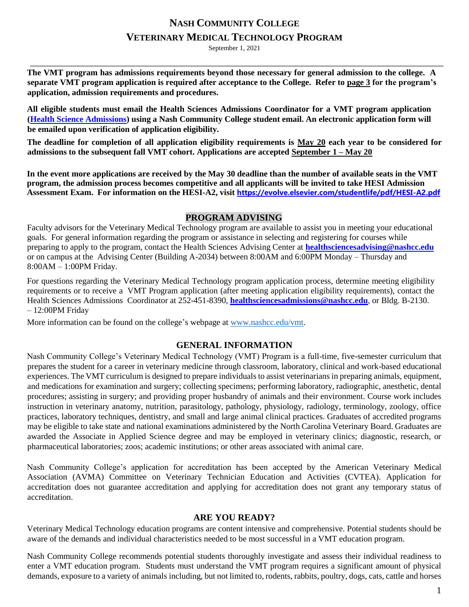# **NASH COMMUNITY COLLEGE VETERINARY MEDICAL TECHNOLOGY PROGRAM**

September 1, 2021

**The VMT program has admissions requirements beyond those necessary for general admission to the college. A separate VMT program application is required after acceptance to the College. Refer to page 3 for the program's application, admission requirements and procedures.** 

**All eligible students must email the Health Sciences Admissions Coordinator for a VMT program application (Health Science Admissions) using a Nash Community College student email. An electronic application form will be emailed upon verification of application eligibility.** 

**The deadline for completion of all application eligibility requirements is May 20 each year to be considered for admissions to the subsequent fall VMT cohort. Applications are accepted September 1 – May 20**

**In the event more applications are received by the May 30 deadline than the number of available seats in the VMT program, the admission process becomes competitive and all applicants will be invited to take HESI Admission [A](https://evolve.elsevier.com/studentlife/pdf/HESI-A2.pdf)ssessment Exam. For information on the HESI-A2, visit <https://evolve.elsevier.com/studentlife/pdf/HESI-A2.pdf>**

## **PROGRAM ADVISING**

Faculty advisors for the Veterinary Medical Technology program are available to assist you in meeting your educational goals. For general information regarding the program or assistance in selecting and registering for courses while preparing to apply to the program, contact the Health Sciences Advising Center at **healthsciencesadvising@nashcc.edu**  or on campus at the Advising Center (Building A-2034) between 8:00AM and 6:00PM Monday – Thursday and 8:00AM – 1:00PM Friday.

For questions regarding the Veterinary Medical Technology program application process, determine meeting eligibility requirements or to receive a VMT Program application (after meeting application eligibility requirements), contact the Health Sciences Admissions Coordinator at 252-451-8390, **healthsciencesadmissions@nashcc.edu**, or Bldg. B-2130. – 12:00PM Friday

More information can be found on the college's webpage at [www.nashcc.edu/vmt.](http://www.nashcc.edu/vmt)

## **GENERAL INFORMATION**

Nash Community College's Veterinary Medical Technology (VMT) Program is a full-time, five-semester curriculum that prepares the student for a career in veterinary medicine through classroom, laboratory, clinical and work-based educational experiences. The VMT curriculum is designed to prepare individuals to assist veterinarians in preparing animals, equipment, and medications for examination and surgery; collecting specimens; performing laboratory, radiographic, anesthetic, dental procedures; assisting in surgery; and providing proper husbandry of animals and their environment. Course work includes instruction in veterinary anatomy, nutrition, parasitology, pathology, physiology, radiology, terminology, zoology, office practices, laboratory techniques, dentistry, and small and large animal clinical practices. Graduates of accredited programs may be eligible to take state and national examinations administered by the North Carolina Veterinary Board. Graduates are awarded the Associate in Applied Science degree and may be employed in veterinary clinics; diagnostic, research, or pharmaceutical laboratories; zoos; academic institutions; or other areas associated with animal care.

Nash Community College's application for accreditation has been accepted by the American Veterinary Medical Association (AVMA) Committee on Veterinary Technician Education and Activities (CVTEA). Application for accreditation does not guarantee accreditation and applying for accreditation does not grant any temporary status of accreditation.

## **ARE YOU READY?**

Veterinary Medical Technology education programs are content intensive and comprehensive. Potential students should be aware of the demands and individual characteristics needed to be most successful in a VMT education program.

Nash Community College recommends potential students thoroughly investigate and assess their individual readiness to enter a VMT education program. Students must understand the VMT program requires a significant amount of physical demands, exposure to a variety of animals including, but not limited to, rodents, rabbits, poultry, dogs, cats, cattle and horses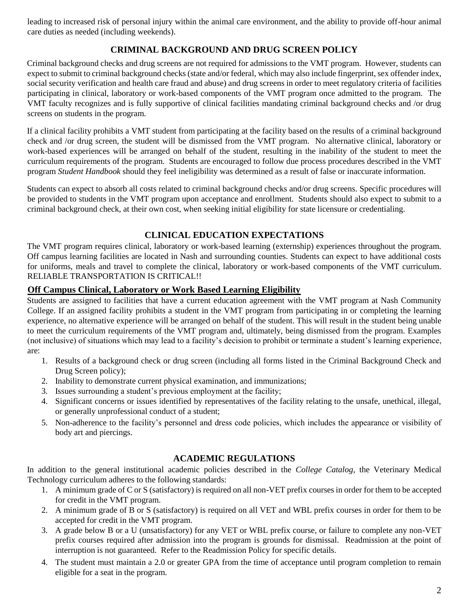leading to increased risk of personal injury within the animal care environment, and the ability to provide off-hour animal care duties as needed (including weekends).

## **CRIMINAL BACKGROUND AND DRUG SCREEN POLICY**

Criminal background checks and drug screens are not required for admissions to the VMT program. However, students can expect to submit to criminal background checks (state and/or federal, which may also include fingerprint, sex offender index, social security verification and health care fraud and abuse) and drug screens in order to meet regulatory criteria of facilities participating in clinical, laboratory or work-based components of the VMT program once admitted to the program. The VMT faculty recognizes and is fully supportive of clinical facilities mandating criminal background checks and /or drug screens on students in the program.

If a clinical facility prohibits a VMT student from participating at the facility based on the results of a criminal background check and /or drug screen, the student will be dismissed from the VMT program. No alternative clinical, laboratory or work-based experiences will be arranged on behalf of the student, resulting in the inability of the student to meet the curriculum requirements of the program. Students are encouraged to follow due process procedures described in the VMT program *Student Handbook* should they feel ineligibility was determined as a result of false or inaccurate information.

Students can expect to absorb all costs related to criminal background checks and/or drug screens. Specific procedures will be provided to students in the VMT program upon acceptance and enrollment. Students should also expect to submit to a criminal background check, at their own cost, when seeking initial eligibility for state licensure or credentialing.

## **CLINICAL EDUCATION EXPECTATIONS**

The VMT program requires clinical, laboratory or work-based learning (externship) experiences throughout the program. Off campus learning facilities are located in Nash and surrounding counties. Students can expect to have additional costs for uniforms, meals and travel to complete the clinical, laboratory or work-based components of the VMT curriculum. RELIABLE TRANSPORTATION IS CRITICAL!!

## **Off Campus Clinical, Laboratory or Work Based Learning Eligibility**

Students are assigned to facilities that have a current education agreement with the VMT program at Nash Community College. If an assigned facility prohibits a student in the VMT program from participating in or completing the learning experience, no alternative experience will be arranged on behalf of the student. This will result in the student being unable to meet the curriculum requirements of the VMT program and, ultimately, being dismissed from the program. Examples (not inclusive) of situations which may lead to a facility's decision to prohibit or terminate a student's learning experience, are:

- 1. Results of a background check or drug screen (including all forms listed in the Criminal Background Check and Drug Screen policy);
- 2. Inability to demonstrate current physical examination, and immunizations;
- 3. Issues surrounding a student's previous employment at the facility;
- 4. Significant concerns or issues identified by representatives of the facility relating to the unsafe, unethical, illegal, or generally unprofessional conduct of a student;
- 5. Non-adherence to the facility's personnel and dress code policies, which includes the appearance or visibility of body art and piercings.

## **ACADEMIC REGULATIONS**

In addition to the general institutional academic policies described in the *College Catalog*, the Veterinary Medical Technology curriculum adheres to the following standards:

- 1. A minimum grade of C or S (satisfactory) is required on all non-VET prefix courses in order for them to be accepted for credit in the VMT program.
- 2. A minimum grade of B or S (satisfactory) is required on all VET and WBL prefix courses in order for them to be accepted for credit in the VMT program.
- 3. A grade below B or a U (unsatisfactory) for any VET or WBL prefix course, or failure to complete any non-VET prefix courses required after admission into the program is grounds for dismissal. Readmission at the point of interruption is not guaranteed. Refer to the Readmission Policy for specific details.
- 4. The student must maintain a 2.0 or greater GPA from the time of acceptance until program completion to remain eligible for a seat in the program.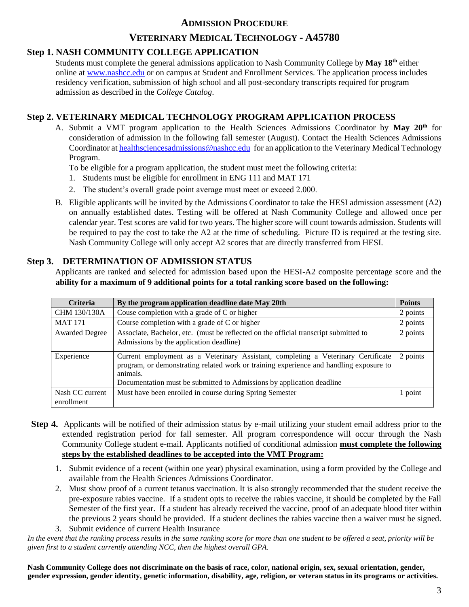## **ADMISSION PROCEDURE**

## **VETERINARY MEDICAL TECHNOLOGY - A45780**

## **Step 1. NASH COMMUNITY COLLEGE APPLICATION**

Students must complete the general admissions application to Nash Community College by **May 18th** either online a[t](http://www.nashcc.edu/) [www.nashcc.edu](http://www.nashcc.edu/) or on campus at Student and Enrollment Services. The application process includes residency verification, submission of high school and all post-secondary transcripts required for program admission as described in the *College Catalog*.

## **Step 2. VETERINARY MEDICAL TECHNOLOGY PROGRAM APPLICATION PROCESS**

A. Submit a VMT program application to the Health Sciences Admissions Coordinator by **May 20th** for consideration of admission in the following fall semester (August). Contact the Health Sciences Admissions Coordinator at healthsciencesadmissions@nashcc.edu for an application to the Veterinary Medical Technology Program.

To be eligible for a program application, the student must meet the following criteria:

- 1. Students must be eligible for enrollment in ENG 111 and MAT 171
- 2. The student's overall grade point average must meet or exceed 2.000.
- B. Eligible applicants will be invited by the Admissions Coordinator to take the HESI admission assessment (A2) on annually established dates. Testing will be offered at Nash Community College and allowed once per calendar year. Test scores are valid for two years. The higher score will count towards admission. Students will be required to pay the cost to take the A2 at the time of scheduling. Picture ID is required at the testing site. Nash Community College will only accept A2 scores that are directly transferred from HESI.

## **Step 3. DETERMINATION OF ADMISSION STATUS**

Applicants are ranked and selected for admission based upon the HESI-A2 composite percentage score and the **ability for a maximum of 9 additional points for a total ranking score based on the following:** 

| <b>Criteria</b>               | By the program application deadline date May 20th                                                                                                                                                                                                                | <b>Points</b> |
|-------------------------------|------------------------------------------------------------------------------------------------------------------------------------------------------------------------------------------------------------------------------------------------------------------|---------------|
| CHM 130/130A                  | Couse completion with a grade of C or higher                                                                                                                                                                                                                     | 2 points      |
| <b>MAT 171</b>                | Course completion with a grade of C or higher                                                                                                                                                                                                                    | 2 points      |
| <b>Awarded Degree</b>         | Associate, Bachelor, etc. (must be reflected on the official transcript submitted to<br>Admissions by the application deadline)                                                                                                                                  | 2 points      |
| Experience                    | Current employment as a Veterinary Assistant, completing a Veterinary Certificate<br>program, or demonstrating related work or training experience and handling exposure to<br>animals.<br>Documentation must be submitted to Admissions by application deadline | 2 points      |
| Nash CC current<br>enrollment | Must have been enrolled in course during Spring Semester                                                                                                                                                                                                         | 1 point       |

- **Step 4.** Applicants will be notified of their admission status by e-mail utilizing your student email address prior to the extended registration period for fall semester. All program correspondence will occur through the Nash Community College student e-mail. Applicants notified of conditional admission **must complete the following steps by the established deadlines to be accepted into the VMT Program:**
	- 1. Submit evidence of a recent (within one year) physical examination, using a form provided by the College and available from the Health Sciences Admissions Coordinator.
	- 2. Must show proof of a current tetanus vaccination. It is also strongly recommended that the student receive the pre-exposure rabies vaccine. If a student opts to receive the rabies vaccine, it should be completed by the Fall Semester of the first year. If a student has already received the vaccine, proof of an adequate blood titer within the previous 2 years should be provided. If a student declines the rabies vaccine then a waiver must be signed.
	- 3. Submit evidence of current Health Insurance

*In the event that the ranking process results in the same ranking score for more than one student to be offered a seat, priority will be given first to a student currently attending NCC, then the highest overall GPA.* 

**Nash Community College does not discriminate on the basis of race, color, national origin, sex, sexual orientation, gender, gender expression, gender identity, genetic information, disability, age, religion, or veteran status in its programs or activities.**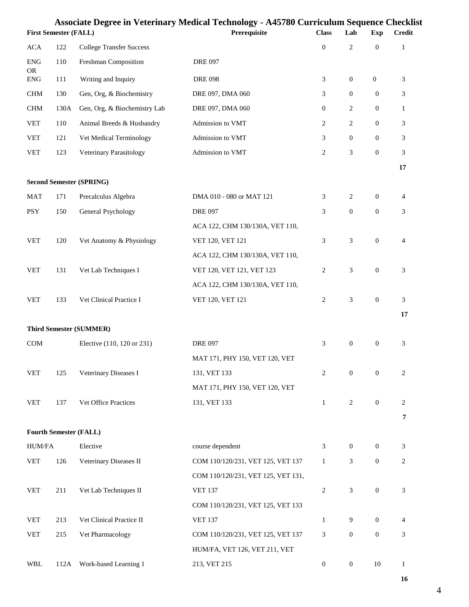| Associate Degree in Veterinary Medical Technology - A45780 Curriculum Sequence Checklist           |      |                                 |                                    |                  |                             |                  |                |
|----------------------------------------------------------------------------------------------------|------|---------------------------------|------------------------------------|------------------|-----------------------------|------------------|----------------|
| <b>First Semester (FALL)</b><br>Prerequisite<br><b>Class</b><br>Lab<br><b>Exp</b><br><b>Credit</b> |      |                                 |                                    |                  |                             |                  |                |
| <b>ACA</b>                                                                                         | 122  | <b>College Transfer Success</b> |                                    | $\boldsymbol{0}$ | $\overline{c}$              | $\boldsymbol{0}$ | $\mathbf{1}$   |
| <b>ENG</b><br><b>OR</b>                                                                            | 110  | Freshman Composition            | <b>DRE 097</b>                     |                  |                             |                  |                |
| <b>ENG</b>                                                                                         | 111  | Writing and Inquiry             | <b>DRE 098</b>                     | 3                | $\boldsymbol{0}$            | $\boldsymbol{0}$ | 3              |
| <b>CHM</b>                                                                                         | 130  | Gen, Org, & Biochemistry        | DRE 097, DMA 060                   | 3                | $\boldsymbol{0}$            | $\boldsymbol{0}$ | $\mathfrak{Z}$ |
| <b>CHM</b>                                                                                         | 130A | Gen, Org, & Biochemistry Lab    | DRE 097, DMA 060                   | $\boldsymbol{0}$ | 2                           | $\boldsymbol{0}$ | $\mathbf{1}$   |
| <b>VET</b>                                                                                         | 110  | Animal Breeds & Husbandry       | Admission to VMT                   | 2                | $\overline{c}$              | $\mathbf{0}$     | 3              |
| <b>VET</b>                                                                                         | 121  | Vet Medical Terminology         | Admission to VMT                   | 3                | $\boldsymbol{0}$            | $\boldsymbol{0}$ | 3              |
| <b>VET</b>                                                                                         | 123  | Veterinary Parasitology         | Admission to VMT                   | $\overline{c}$   | 3                           | $\boldsymbol{0}$ | 3              |
|                                                                                                    |      |                                 |                                    |                  |                             |                  | 17             |
|                                                                                                    |      | <b>Second Semester (SPRING)</b> |                                    |                  |                             |                  |                |
| <b>MAT</b>                                                                                         | 171  | Precalculus Algebra             | DMA 010 - 080 or MAT 121           | 3                | $\overline{c}$              | $\mathbf{0}$     | 4              |
| <b>PSY</b>                                                                                         | 150  | General Psychology              | <b>DRE 097</b>                     | 3                | $\boldsymbol{0}$            | $\boldsymbol{0}$ | 3              |
|                                                                                                    |      |                                 | ACA 122, CHM 130/130A, VET 110,    |                  |                             |                  |                |
| <b>VET</b>                                                                                         | 120  | Vet Anatomy & Physiology        | VET 120, VET 121                   | 3                | 3                           | $\boldsymbol{0}$ | $\overline{4}$ |
|                                                                                                    |      |                                 | ACA 122, CHM 130/130A, VET 110,    |                  |                             |                  |                |
| <b>VET</b>                                                                                         | 131  | Vet Lab Techniques I            | VET 120, VET 121, VET 123          | 2                | $\ensuremath{\mathfrak{Z}}$ | $\boldsymbol{0}$ | 3              |
|                                                                                                    |      |                                 | ACA 122, CHM 130/130A, VET 110,    |                  |                             |                  |                |
| <b>VET</b>                                                                                         | 133  | Vet Clinical Practice I         | VET 120, VET 121                   | $\overline{c}$   | 3                           | $\boldsymbol{0}$ | 3              |
|                                                                                                    |      | <b>Third Semester (SUMMER)</b>  |                                    |                  |                             |                  | 17             |
|                                                                                                    |      |                                 | <b>DRE 097</b>                     | 3                |                             | $\boldsymbol{0}$ | $\mathfrak{Z}$ |
| <b>COM</b>                                                                                         |      | Elective (110, 120 or 231)      |                                    |                  | $\boldsymbol{0}$            |                  |                |
|                                                                                                    |      |                                 | MAT 171, PHY 150, VET 120, VET     |                  |                             |                  |                |
| <b>VET</b>                                                                                         | 125  | Veterinary Diseases I           | 131, VET 133                       | $\overline{c}$   | $\boldsymbol{0}$            | $\boldsymbol{0}$ | $\overline{2}$ |
|                                                                                                    |      |                                 | MAT 171, PHY 150, VET 120, VET     |                  |                             |                  |                |
| <b>VET</b>                                                                                         | 137  | Vet Office Practices            | 131, VET 133                       | $\mathbf{1}$     | $\sqrt{2}$                  | $\boldsymbol{0}$ | $\sqrt{2}$     |
| <b>Fourth Semester (FALL)</b>                                                                      |      |                                 |                                    |                  |                             |                  | 7              |
| HUM/FA                                                                                             |      | Elective                        | course dependent                   | 3                | $\boldsymbol{0}$            | 0                | 3              |
| <b>VET</b>                                                                                         | 126  | Veterinary Diseases II          | COM 110/120/231, VET 125, VET 137  | $\mathbf{1}$     | 3                           | $\boldsymbol{0}$ | 2              |
|                                                                                                    |      |                                 | COM 110/120/231, VET 125, VET 131, |                  |                             |                  |                |
| <b>VET</b>                                                                                         | 211  | Vet Lab Techniques II           | <b>VET 137</b>                     | $\overline{c}$   | $\ensuremath{\mathfrak{Z}}$ | $\boldsymbol{0}$ | 3              |
|                                                                                                    |      |                                 | COM 110/120/231, VET 125, VET 133  |                  |                             |                  |                |
| <b>VET</b>                                                                                         | 213  | Vet Clinical Practice II        | <b>VET 137</b>                     | 1                | 9                           | $\boldsymbol{0}$ | 4              |
| <b>VET</b>                                                                                         | 215  | Vet Pharmacology                | COM 110/120/231, VET 125, VET 137  | 3                | $\boldsymbol{0}$            | $\boldsymbol{0}$ | 3              |
|                                                                                                    |      |                                 |                                    |                  |                             |                  |                |
|                                                                                                    |      |                                 | HUM/FA, VET 126, VET 211, VET      |                  |                             |                  |                |
| WBL                                                                                                | 112A | Work-based Learning 1           | 213, VET 215                       | $\boldsymbol{0}$ | $\boldsymbol{0}$            | 10               | $\mathbf{1}$   |

## **16**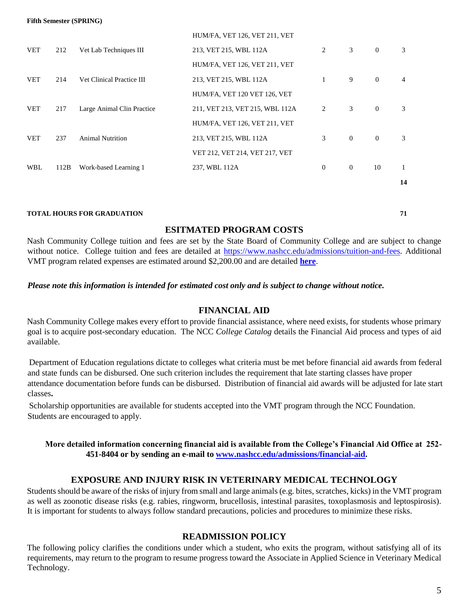#### **Fifth Semester (SPRING)**

|            |      |                            | HUM/FA, VET 126, VET 211, VET   |              |                |                |                |
|------------|------|----------------------------|---------------------------------|--------------|----------------|----------------|----------------|
| <b>VET</b> | 212  | Vet Lab Techniques III     | 213, VET 215, WBL 112A          | 2            | 3              | $\overline{0}$ | 3              |
|            |      |                            | HUM/FA, VET 126, VET 211, VET   |              |                |                |                |
| <b>VET</b> | 214  | Vet Clinical Practice III  | 213, VET 215, WBL 112A          | 1            | 9              | $\overline{0}$ | $\overline{4}$ |
|            |      |                            | HUM/FA, VET 120 VET 126, VET    |              |                |                |                |
| <b>VET</b> | 217  | Large Animal Clin Practice | 211, VET 213, VET 215, WBL 112A | 2            | 3              | $\overline{0}$ | 3              |
|            |      |                            | HUM/FA, VET 126, VET 211, VET   |              |                |                |                |
| <b>VET</b> | 237  | <b>Animal Nutrition</b>    | 213, VET 215, WBL 112A          | 3            | $\overline{0}$ | $\overline{0}$ | 3              |
|            |      |                            | VET 212, VET 214, VET 217, VET  |              |                |                |                |
| <b>WBL</b> | 112B | Work-based Learning 1      | 237, WBL 112A                   | $\mathbf{0}$ | $\overline{0}$ | 10             | 1              |
|            |      |                            |                                 |              |                |                | 14             |
|            |      |                            |                                 |              |                |                |                |

#### **TOTAL HOURS FOR GRADUATION 71**

### **ESITMATED PROGRAM COSTS**

Nash Community College tuition and fees are set by the State Board of Community College and are subject to change without notice. College tuition and fees are detailed at [https://www.nashcc.edu/admissions/tuition-and-fees.](https://www.nashcc.edu/admissions/tuition-and-fees) Additional VMT program related expenses are estimated around \$2,200.00 and are detailed **[here](https://docs.google.com/document/d/1KIva_QC9WdM2DHszVNZ1giUPDI0j0I4daym1RyrTXXY/edit?usp=sharing)**[.](https://docs.google.com/document/d/1KIva_QC9WdM2DHszVNZ1giUPDI0j0I4daym1RyrTXXY/edit?usp=sharing) 

#### *Please note this information is intended for estimated cost only and is subject to change without notice.*

### **FINANCIAL AID**

Nash Community College makes every effort to provide financial assistance, where need exists, for students whose primary goal is to acquire post-secondary education. The NCC *College Catalog* details the Financial Aid process and types of aid available.

Department of Education regulations dictate to colleges what criteria must be met before financial aid awards from federal and state funds can be disbursed. One such criterion includes the requirement that late starting classes have proper attendance documentation before funds can be disbursed. Distribution of financial aid awards will be adjusted for late start classes**.** 

Scholarship opportunities are available for students accepted into the VMT program through the NCC Foundation. Students are encouraged to apply.

### **More detailed information concerning financial aid is available from the College's Financial Aid Office at 252- 451-8404 or by sending an e-mail t[o](http://www.nashcc.edu/admissions/financial-aid) [www.nashcc.edu/admissions/financial-aid.](http://www.nashcc.edu/admissions/financial-aid)**

## **EXPOSURE AND INJURY RISK IN VETERINARY MEDICAL TECHNOLOGY**

Students should be aware of the risks of injury from small and large animals (e.g. bites, scratches, kicks) in the VMT program as well as zoonotic disease risks (e.g. rabies, ringworm, brucellosis, intestinal parasites, toxoplasmosis and leptospirosis). It is important for students to always follow standard precautions, policies and procedures to minimize these risks.

## **READMISSION POLICY**

The following policy clarifies the conditions under which a student, who exits the program, without satisfying all of its requirements, may return to the program to resume progress toward the Associate in Applied Science in Veterinary Medical Technology.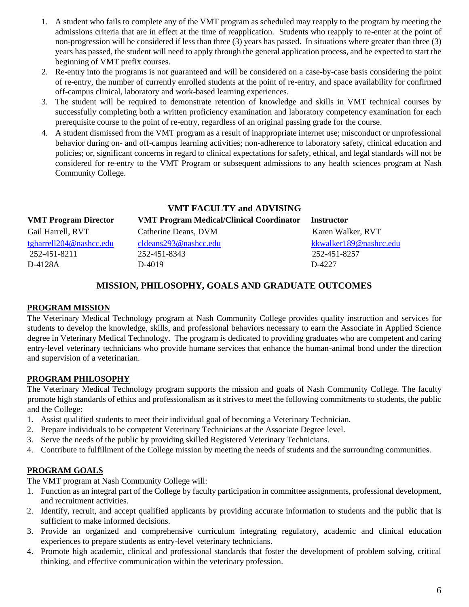- 1. A student who fails to complete any of the VMT program as scheduled may reapply to the program by meeting the admissions criteria that are in effect at the time of reapplication. Students who reapply to re-enter at the point of non-progression will be considered if less than three (3) years has passed. In situations where greater than three (3) years has passed, the student will need to apply through the general application process, and be expected to start the beginning of VMT prefix courses.
- 2. Re-entry into the programs is not guaranteed and will be considered on a case-by-case basis considering the point of re-entry, the number of currently enrolled students at the point of re-entry, and space availability for confirmed off-campus clinical, laboratory and work-based learning experiences.
- 3. The student will be required to demonstrate retention of knowledge and skills in VMT technical courses by successfully completing both a written proficiency examination and laboratory competency examination for each prerequisite course to the point of re-entry, regardless of an original passing grade for the course.
- 4. A student dismissed from the VMT program as a result of inappropriate internet use; misconduct or unprofessional behavior during on- and off-campus learning activities; non-adherence to laboratory safety, clinical education and policies; or, significant concerns in regard to clinical expectations for safety, ethical, and legal standards will not be considered for re-entry to the VMT Program or subsequent admissions to any health sciences program at Nash Community College.

|                             | <b>VMT FACULTY and ADVISING</b>                 |                        |  |  |
|-----------------------------|-------------------------------------------------|------------------------|--|--|
| <b>VMT Program Director</b> | <b>VMT Program Medical/Clinical Coordinator</b> | Instructor             |  |  |
| Gail Harrell, RVT           | Catherine Deans, DVM                            | Karen Walker, RVT      |  |  |
| tgharrell204@nashcc.edu     | cldeans293@nashcc.edu                           | kkwalker189@nashcc.edu |  |  |
| 252-451-8211                | 252-451-8343                                    | 252-451-8257           |  |  |
| D-4128A                     | D-4019                                          | D-4227                 |  |  |

## **MISSION, PHILOSOPHY, GOALS AND GRADUATE OUTCOMES**

### **PROGRAM MISSION**

The Veterinary Medical Technology program at Nash Community College provides quality instruction and services for students to develop the knowledge, skills, and professional behaviors necessary to earn the Associate in Applied Science degree in Veterinary Medical Technology. The program is dedicated to providing graduates who are competent and caring entry-level veterinary technicians who provide humane services that enhance the human-animal bond under the direction and supervision of a veterinarian.

## **PROGRAM PHILOSOPHY**

The Veterinary Medical Technology program supports the mission and goals of Nash Community College. The faculty promote high standards of ethics and professionalism as it strives to meet the following commitments to students, the public and the College:

- 1. Assist qualified students to meet their individual goal of becoming a Veterinary Technician.
- 2. Prepare individuals to be competent Veterinary Technicians at the Associate Degree level.
- 3. Serve the needs of the public by providing skilled Registered Veterinary Technicians.
- 4. Contribute to fulfillment of the College mission by meeting the needs of students and the surrounding communities.

## **PROGRAM GOALS**

The VMT program at Nash Community College will:

- 1. Function as an integral part of the College by faculty participation in committee assignments, professional development, and recruitment activities.
- 2. Identify, recruit, and accept qualified applicants by providing accurate information to students and the public that is sufficient to make informed decisions.
- 3. Provide an organized and comprehensive curriculum integrating regulatory, academic and clinical education experiences to prepare students as entry-level veterinary technicians.
- 4. Promote high academic, clinical and professional standards that foster the development of problem solving, critical thinking, and effective communication within the veterinary profession.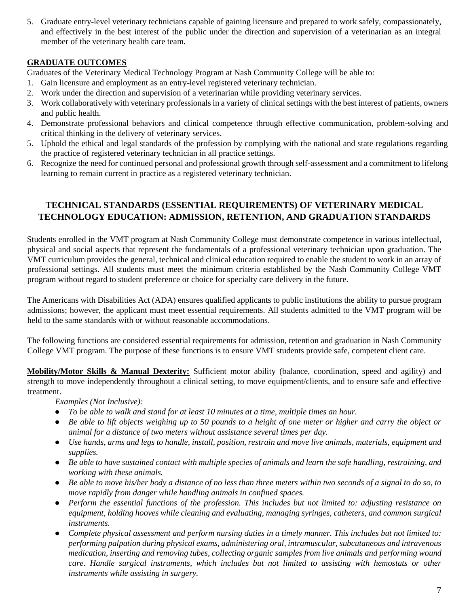5. Graduate entry-level veterinary technicians capable of gaining licensure and prepared to work safely, compassionately, and effectively in the best interest of the public under the direction and supervision of a veterinarian as an integral member of the veterinary health care team.

## **GRADUATE OUTCOMES**

Graduates of the Veterinary Medical Technology Program at Nash Community College will be able to:

- 1. Gain licensure and employment as an entry-level registered veterinary technician.
- 2. Work under the direction and supervision of a veterinarian while providing veterinary services.
- 3. Work collaboratively with veterinary professionals in a variety of clinical settings with the best interest of patients, owners and public health.
- 4. Demonstrate professional behaviors and clinical competence through effective communication, problem-solving and critical thinking in the delivery of veterinary services.
- 5. Uphold the ethical and legal standards of the profession by complying with the national and state regulations regarding the practice of registered veterinary technician in all practice settings.
- 6. Recognize the need for continued personal and professional growth through self-assessment and a commitment to lifelong learning to remain current in practice as a registered veterinary technician.

## **TECHNICAL STANDARDS (ESSENTIAL REQUIREMENTS) OF VETERINARY MEDICAL TECHNOLOGY EDUCATION: ADMISSION, RETENTION, AND GRADUATION STANDARDS**

Students enrolled in the VMT program at Nash Community College must demonstrate competence in various intellectual, physical and social aspects that represent the fundamentals of a professional veterinary technician upon graduation. The VMT curriculum provides the general, technical and clinical education required to enable the student to work in an array of professional settings. All students must meet the minimum criteria established by the Nash Community College VMT program without regard to student preference or choice for specialty care delivery in the future.

The Americans with Disabilities Act (ADA) ensures qualified applicants to public institutions the ability to pursue program admissions; however, the applicant must meet essential requirements. All students admitted to the VMT program will be held to the same standards with or without reasonable accommodations.

The following functions are considered essential requirements for admission, retention and graduation in Nash Community College VMT program. The purpose of these functions is to ensure VMT students provide safe, competent client care.

**Mobility/Motor Skills & Manual Dexterity:** Sufficient motor ability (balance, coordination, speed and agility) and strength to move independently throughout a clinical setting, to move equipment/clients, and to ensure safe and effective treatment.

*Examples (Not Inclusive):* 

- *To be able to walk and stand for at least 10 minutes at a time, multiple times an hour.*
- *Be able to lift objects weighing up to 50 pounds to a height of one meter or higher and carry the object or animal for a distance of two meters without assistance several times per day.*
- *Use hands, arms and legs to handle, install, position, restrain and move live animals, materials, equipment and supplies.*
- *Be able to have sustained contact with multiple species of animals and learn the safe handling, restraining, and working with these animals.*
- *Be able to move his/her body a distance of no less than three meters within two seconds of a signal to do so, to move rapidly from danger while handling animals in confined spaces.*
- *Perform the essential functions of the profession. This includes but not limited to: adjusting resistance on equipment, holding hooves while cleaning and evaluating, managing syringes, catheters, and common surgical instruments.*
- *Complete physical assessment and perform nursing duties in a timely manner. This includes but not limited to: performing palpation during physical exams, administering oral, intramuscular, subcutaneous and intravenous medication, inserting and removing tubes, collecting organic samples from live animals and performing wound care. Handle surgical instruments, which includes but not limited to assisting with hemostats or other instruments while assisting in surgery.*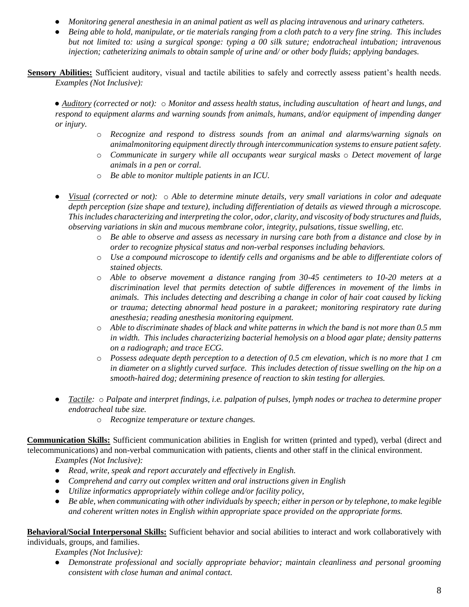- *Monitoring general anesthesia in an animal patient as well as placing intravenous and urinary catheters.*
- *Being able to hold, manipulate, or tie materials ranging from a cloth patch to a very fine string. This includes but not limited to: using a surgical sponge: typing a 00 silk suture; endotracheal intubation; intravenous injection; catheterizing animals to obtain sample of urine and/ or other body fluids; applying bandages.*
- **Sensory Abilities:** Sufficient auditory, visual and tactile abilities to safely and correctly assess patient's health needs. *Examples (Not Inclusive):*

● *Auditory (corrected or not):* o *Monitor and assess health status, including auscultation of heart and lungs, and respond to equipment alarms and warning sounds from animals, humans, and/or equipment of impending danger or injury.* 

- o *Recognize and respond to distress sounds from an animal and alarms/warning signals on animalmonitoring equipment directly through intercommunication systems to ensure patient safety.*
- o *Communicate in surgery while all occupants wear surgical masks* o *Detect movement of large animals in a pen or corral.*
- o *Be able to monitor multiple patients in an ICU.*
- *Visual (corrected or not):* o *Able to determine minute details, very small variations in color and adequate depth perception (size shape and texture), including differentiation of details as viewed through a microscope. This includes characterizing and interpreting the color, odor, clarity, and viscosity of body structures and fluids, observing variations in skin and mucous membrane color, integrity, pulsations, tissue swelling, etc.* 
	- o *Be able to observe and assess as necessary in nursing care both from a distance and close by in order to recognize physical status and non-verbal responses including behaviors.*
	- o *Use a compound microscope to identify cells and organisms and be able to differentiate colors of stained objects.*
	- o *Able to observe movement a distance ranging from 30-45 centimeters to 10-20 meters at a discrimination level that permits detection of subtle differences in movement of the limbs in animals. This includes detecting and describing a change in color of hair coat caused by licking or trauma; detecting abnormal head posture in a parakeet; monitoring respiratory rate during anesthesia; reading anesthesia monitoring equipment.*
	- o *Able to discriminate shades of black and white patterns in which the band is not more than 0.5 mm in width. This includes characterizing bacterial hemolysis on a blood agar plate; density patterns on a radiograph; and trace ECG.*
	- o *Possess adequate depth perception to a detection of 0.5 cm elevation, which is no more that 1 cm in diameter on a slightly curved surface. This includes detection of tissue swelling on the hip on a smooth-haired dog; determining presence of reaction to skin testing for allergies.*
- *Tactile:* o *Palpate and interpret findings, i.e. palpation of pulses, lymph nodes or trachea to determine proper endotracheal tube size.* 
	- o *Recognize temperature or texture changes.*

**Communication Skills:** Sufficient communication abilities in English for written (printed and typed), verbal (direct and telecommunications) and non-verbal communication with patients, clients and other staff in the clinical environment.

*Examples (Not Inclusive):* 

- *Read, write, speak and report accurately and effectively in English.*
- *Comprehend and carry out complex written and oral instructions given in English*
- *Utilize informatics appropriately within college and/or facility policy,*
- *Be able, when communicating with other individuals by speech; either in person or by telephone, to make legible and coherent written notes in English within appropriate space provided on the appropriate forms.*

**Behavioral/Social Interpersonal Skills:** Sufficient behavior and social abilities to interact and work collaboratively with individuals, groups, and families.

*Examples (Not Inclusive):* 

● *Demonstrate professional and socially appropriate behavior; maintain cleanliness and personal grooming consistent with close human and animal contact.*